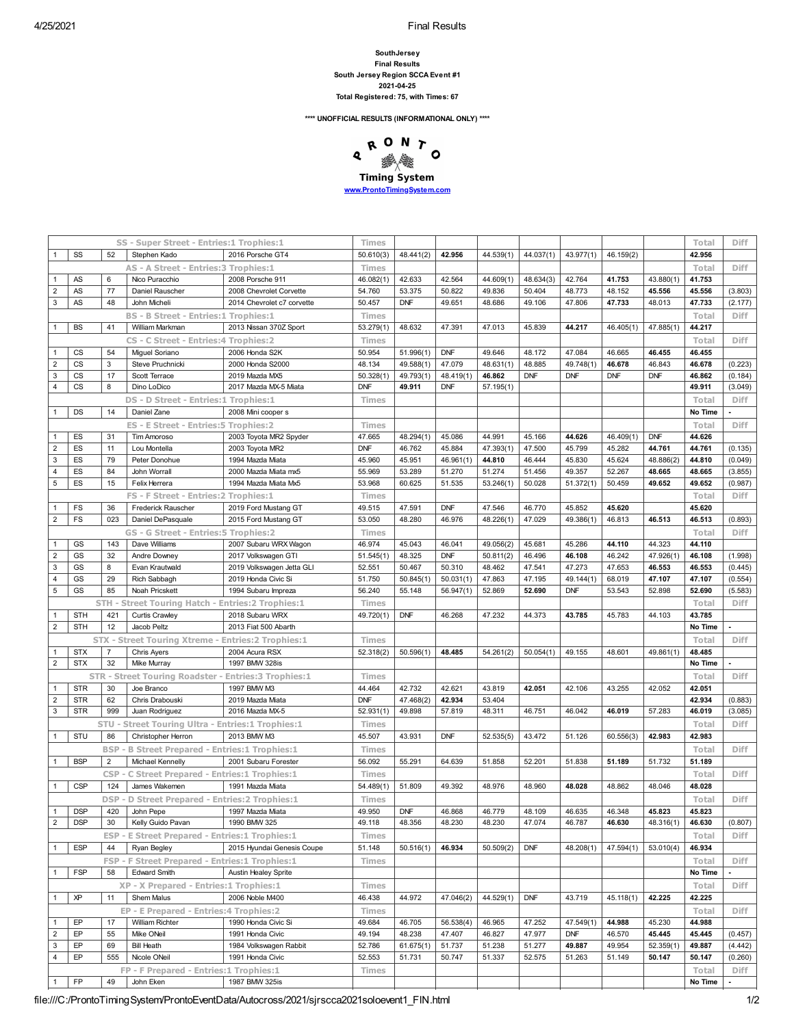## **SouthJersey Final Results South Jersey Region SCCA Event #1 2021-04-25 Total Registered: 75, with Times: 67**

**\*\*\*\* UNOFFICIAL RESULTS (INFORMATIONAL ONLY) \*\*\*\***



|                                         |                          |                | SS - Super Street - Entries:1 Trophies:1               |                                            | Times            |                      |                  |                  |                  |                  |                  |                     | Total            | <b>Diff</b> |
|-----------------------------------------|--------------------------|----------------|--------------------------------------------------------|--------------------------------------------|------------------|----------------------|------------------|------------------|------------------|------------------|------------------|---------------------|------------------|-------------|
|                                         | SS                       | 52             | Stephen Kado                                           | 2016 Porsche GT4                           | 50.610(3)        | 48.441(2)            | 42.956           | 44.539(1)        | 44.037(1)        | 43.977(1)        | 46.159(2)        |                     | 42.956           |             |
|                                         |                          |                | AS - A Street - Entries: 3 Trophies: 1                 |                                            | Times            |                      |                  |                  |                  |                  |                  |                     | Total            | <b>Diff</b> |
| $\mathbf{1}$                            | AS                       | 6              | Nico Puracchio                                         | 2008 Porsche 911                           | 46.082(1)        | 42.633               | 42.564           | 44.609(1)        | 48.634(3)        | 42.764           | 41.753           | 43.880(1)           | 41.753           |             |
| $\overline{\mathbf{c}}$                 | AS                       | 77             | Daniel Rauscher                                        | 2008 Chevrolet Corvette                    | 54.760           | 53.375               | 50.822           | 49.836           | 50.404           | 48.773           | 48.152           | 45.556              | 45.556           | (3.803)     |
| 3                                       | AS                       | 48             | John Micheli                                           | 2014 Chevrolet c7 corvette                 | 50.457           | <b>DNF</b>           | 49.651           | 48.686           | 49.106           | 47.806           | 47.733           | 48.013              | 47.733           | (2.177)     |
|                                         |                          |                | <b>BS - B Street - Entries:1 Trophies:1</b>            |                                            |                  |                      |                  |                  |                  |                  |                  |                     | Total            | <b>Diff</b> |
|                                         |                          |                |                                                        |                                            | Times            |                      |                  |                  |                  |                  |                  |                     |                  |             |
| 1                                       | <b>BS</b>                | 41             | William Markman                                        | 2013 Nissan 370Z Sport                     | 53.279(1)        | 48.632               | 47.391           | 47.013           | 45.839           | 44.217           | 46.405(1)        | 47.885(1)           | 44.217           |             |
|                                         |                          |                | CS - C Street - Entries: 4 Trophies: 2                 |                                            | Times            |                      |                  |                  |                  |                  |                  |                     | Total            | Diff        |
| 1                                       | <b>CS</b>                | 54             | Miguel Soriano                                         | 2006 Honda S2K                             | 50.954           | 51.996(1)            | <b>DNF</b>       | 49.646           | 48.172           | 47.084           | 46.665           | 46.455              | 46.455           |             |
| $\overline{2}$                          | <b>CS</b>                | $\overline{3}$ | Steve Pruchnicki                                       | 2000 Honda S2000                           | 48.134           | 49.588(1)            | 47.079           | 48.631(1)        | 48.885           | 49.748(1)        | 46.678           | 46.843              | 46.678           | (0.223)     |
| 3                                       | CS                       | 17             | Scott Terrace                                          | 2019 Mazda MX5                             | 50.328(1)        | 49.793(1)            | 48.419(1)        | 46.862           | <b>DNF</b>       | <b>DNF</b>       | <b>DNF</b>       | <b>DNF</b>          | 46.862           | (0.184)     |
| 4                                       | <b>CS</b>                | 8              | Dino LoDico                                            | 2017 Mazda MX-5 Miata                      | <b>DNF</b>       | 49.911               | <b>DNF</b>       | 57.195(1)        |                  |                  |                  |                     | 49.911           | (3.049)     |
|                                         |                          |                | DS - D Street - Entries:1 Trophies:1                   |                                            | Times            |                      |                  |                  |                  |                  |                  |                     | Total            | <b>Diff</b> |
| 1                                       | DS                       | 14             | Daniel Zane                                            | 2008 Mini cooper s                         |                  |                      |                  |                  |                  |                  |                  |                     | No Time          |             |
|                                         |                          |                | ES - E Street - Entries: 5 Trophies: 2                 |                                            | Times            |                      |                  |                  |                  |                  |                  |                     | Total            | Diff        |
| 1                                       | ES                       | 31             | Tim Amoroso                                            | 2003 Toyota MR2 Spyder                     | 47.665           | 48.294(1)            | 45.086           | 44.991           | 45.166           | 44.626           | 46.409(1)        | <b>DNF</b>          | 44.626           |             |
| $\overline{\mathbf{c}}$                 | ES                       | 11             | Lou Montella                                           | 2003 Toyota MR2                            | <b>DNF</b>       | 46.762               | 45.884           | 47.393(1)        | 47.500           | 45.799           | 45.282           | 44.761              | 44.761           | (0.135)     |
| 3                                       | ES                       | 79             | Peter Donohue                                          | 1994 Mazda Miata                           | 45.960           | 45.951               | 46.961(1)        | 44.810           | 46.444           | 45.830           | 45.624           | 48.886(2)           | 44.810           | (0.049)     |
| 4                                       | ES                       | 84             | John Worrall                                           | 2000 Mazda Miata mx5                       | 55.969           | 53.289               | 51.270           | 51.274           | 51.456           | 49.357           | 52.267           | 48.665              | 48.665           | (3.855)     |
| 5                                       |                          |                |                                                        | 1994 Mazda Miata Mx5                       |                  |                      |                  |                  |                  |                  | 50.459           |                     |                  |             |
|                                         | ES                       | 15             | Felix Herrera                                          |                                            | 53.968           | 60.625               | 51.535           | 53.246(1)        | 50.028           | 51.372(1)        |                  | 49.652              | 49.652           | (0.987)     |
|                                         |                          |                | FS - F Street - Entries: 2 Trophies: 1                 |                                            | Times            |                      |                  |                  |                  |                  |                  |                     | Total            | Diff        |
| 1                                       | FS                       | 36             | <b>Frederick Rauscher</b>                              | 2019 Ford Mustang GT                       | 49.515           | 47.591               | <b>DNF</b>       | 47.546           | 46.770           | 45.852           | 45.620           |                     | 45.620           |             |
| $\overline{2}$                          | FS                       | 023            | Daniel DePasquale                                      | 2015 Ford Mustang GT                       | 53.050           | 48.280               | 46.976           | 48.226(1)        | 47.029           | 49.386(1)        | 46.813           | 46.513              | 46.513           | (0.893)     |
|                                         |                          |                | GS - G Street - Entries:5 Trophies:2                   |                                            | <b>Times</b>     |                      |                  |                  |                  |                  |                  |                     | Total            | <b>Diff</b> |
| $\mathbf{1}$                            | GS                       | 143            | Dave Williams                                          | 2007 Subaru WRX Wagon                      | 46.974           | 45.043               | 46.041           | 49.056(2)        | 45.681           | 45.286           | 44.110           | 44.323              | 44.110           |             |
| $\overline{\mathbf{c}}$                 | GS                       | 32             | Andre Downey                                           | 2017 Volkswagen GTI                        | 51.545(1)        | 48.325               | <b>DNF</b>       | 50.811(2)        | 46.496           | 46.108           | 46.242           | 47.926(1)           | 46.108           | (1.998)     |
| 3                                       | GS                       | 8              | Evan Krautwald                                         | 2019 Volkswagen Jetta GLI                  | 52.551           | 50.467               | 50.310           | 48.462           | 47.541           | 47.273           | 47.653           | 46.553              | 46.553           | (0.445)     |
| 4                                       | GS                       | 29             | Rich Sabbagh                                           | 2019 Honda Civic Si                        | 51.750           | 50.845(1)            | 50.031(1)        | 47.863           | 47.195           | 49.144(1)        | 68.019           | 47.107              | 47.107           | (0.554)     |
| 5                                       | GS                       | 85             | Noah Pricskett                                         | 1994 Subaru Impreza                        | 56.240           | 55.148               | 56.947(1)        | 52.869           | 52.690           | <b>DNF</b>       | 53.543           | 52.898              | 52.690           | (5.583)     |
|                                         |                          |                | STH - Street Touring Hatch - Entries: 2 Trophies: 1    |                                            | Times            |                      |                  |                  |                  |                  |                  |                     | Total            | Diff        |
| 1                                       | <b>STH</b>               | 421            | <b>Curtis Crawley</b>                                  | 2018 Subaru WRX                            | 49.720(1)        | <b>DNF</b>           | 46.268           | 47.232           | 44.373           | 43.785           | 45.783           | 44.103              | 43.785           |             |
| $\overline{c}$                          | <b>STH</b>               | 12             | Jacob Peltz                                            | 2013 Fiat 500 Abarth                       |                  |                      |                  |                  |                  |                  |                  |                     | No Time          |             |
|                                         |                          |                | STX - Street Touring Xtreme - Entries: 2 Trophies: 1   |                                            | Times            |                      |                  |                  |                  |                  |                  |                     | Total            | Diff        |
| 1                                       | <b>STX</b>               | $\overline{7}$ | <b>Chris Ayers</b>                                     | 2004 Acura RSX                             | 52.318(2)        | 50.596(1)            | 48.485           | 54.261(2)        | 50.054(1)        | 49.155           | 48.601           | 49.861(1)           | 48.485           |             |
| $\overline{\mathbf{c}}$                 | <b>STX</b>               | 32             | Mike Murray                                            | 1997 BMW 328is                             |                  |                      |                  |                  |                  |                  |                  |                     | No Time          |             |
|                                         |                          |                |                                                        |                                            |                  |                      |                  |                  |                  |                  |                  |                     | Total            | <b>Diff</b> |
|                                         |                          |                | STR - Street Touring Roadster - Entries: 3 Trophies: 1 |                                            | <b>Times</b>     |                      |                  |                  |                  |                  |                  |                     |                  |             |
| 1                                       | <b>STR</b>               | 30             | Joe Branco                                             | 1997 BMW M3                                | 44.464           | 42.732               | 42.621           | 43.819           | 42.051           | 42.106           | 43.255           | 42.052              | 42.051           |             |
| $\overline{2}$                          | <b>STR</b>               | 62             | Chris Drabouski                                        | 2019 Mazda Miata                           | <b>DNF</b>       | 47.468(2)            | 42.934           | 53.404           |                  |                  |                  |                     | 42.934           | (0.883)     |
| 3                                       | <b>STR</b>               | 999            | Juan Rodriguez                                         | 2016 Mazda MX-5                            | 52.931(1)        | 49.898               | 57.819           | 48.311           | 46.751           | 46.042           | 46.019           | 57.283              | 46.019           | (3.085)     |
|                                         |                          |                | STU - Street Touring Ultra - Entries:1 Trophies:1      |                                            | Times            |                      |                  |                  |                  |                  |                  |                     | Total            | Diff        |
| 1                                       | STU                      | 86             | Christopher Herron                                     | 2013 BMW M3                                | 45.507           | 43.931               | <b>DNF</b>       | 52.535(5)        | 43.472           | 51.126           | 60.556(3)        | 42.983              | 42.983           |             |
|                                         |                          |                | <b>BSP - B Street Prepared - Entries:1 Trophies:1</b>  |                                            | Times            |                      |                  |                  |                  |                  |                  |                     | Total            | <b>Diff</b> |
| 1                                       | <b>BSP</b>               | $\overline{2}$ | <b>Michael Kennelly</b>                                | 2001 Subaru Forester                       | 56.092           | 55.291               | 64.639           | 51.858           | 52.201           | 51.838           | 51.189           | 51.732              | 51.189           |             |
|                                         |                          |                | CSP - C Street Prepared - Entries:1 Trophies:1         |                                            | Times            |                      |                  |                  |                  |                  |                  |                     | Total            | Diff        |
|                                         | <b>CSP</b>               | 124            | James Wakemen                                          | 1991 Mazda Miata                           | 54.489(1)        | 51.809               | 49.392           | 48.976           | 48.960           | 48.028           | 48.862           | 48.046              | 48.028           |             |
|                                         |                          |                | DSP - D Street Prepared - Entries: 2 Trophies: 1       |                                            | Times            |                      |                  |                  |                  |                  |                  |                     | Total            | Diff        |
|                                         |                          |                |                                                        |                                            |                  |                      |                  |                  |                  |                  |                  |                     |                  |             |
| $\mathbf{1}$<br>$\overline{\mathbf{c}}$ | <b>DSP</b><br><b>DSP</b> | 420<br>30      | John Pepe<br>Kelly Guido Pavan                         | 1997 Mazda Miata<br>1990 BMW 325           | 49.950<br>49.118 | <b>DNF</b><br>48.356 | 46.868<br>48.230 | 46.779<br>48.230 | 48.109<br>47.074 | 46.635<br>46.787 | 46.348<br>46.630 | 45.823<br>48.316(1) | 45.823<br>46.630 |             |
|                                         |                          |                |                                                        |                                            |                  |                      |                  |                  |                  |                  |                  |                     |                  | (0.807)     |
|                                         |                          |                | ESP - E Street Prepared - Entries:1 Trophies:1         |                                            | Times            |                      |                  |                  |                  |                  |                  |                     | Total            | Diff        |
| $\mathbf{1}$                            | <b>ESP</b>               | 44             | <b>Ryan Begley</b>                                     | 2015 Hyundai Genesis Coupe                 | 51.148           | 50.516(1)            | 46.934           | 50.509(2)        | <b>DNF</b>       | 48.208(1)        | 47.594(1)        | 53.010(4)           | 46.934           |             |
|                                         |                          |                | FSP - F Street Prepared - Entries:1 Trophies:1         |                                            | Times            |                      |                  |                  |                  |                  |                  |                     | Total            | Diff        |
| 1                                       | <b>FSP</b>               | 58             | <b>Edward Smith</b>                                    | Austin Healey Sprite                       |                  |                      |                  |                  |                  |                  |                  |                     | No Time          |             |
|                                         |                          |                | XP - X Prepared - Entries:1 Trophies:1                 |                                            | Times            |                      |                  |                  |                  |                  |                  |                     | Total            | Diff        |
| $\mathbf{1}$                            | ΧP                       | 11             | Shem Malus                                             | 2006 Noble M400                            | 46.438           | 44.972               | 47.046(2)        | 44.529(1)        | <b>DNF</b>       | 43.719           | 45.118(1)        | 42.225              | 42.225           |             |
|                                         |                          |                | EP - E Prepared - Entries: 4 Trophies: 2               |                                            | Times            |                      |                  |                  |                  |                  |                  |                     | Total            | Diff        |
|                                         |                          |                | William Richter                                        | 1990 Honda Civic Si                        | 49.684           | 46.705               | 56.538(4)        | 46.965           | 47.252           | 47.549(1)        | 44.988           | 45.230              | 44.988           |             |
| $\mathbf{1}$                            | EP                       | 17             |                                                        |                                            |                  |                      |                  |                  |                  |                  |                  |                     |                  |             |
| $\overline{\mathbf{c}}$                 | EP                       | 55             | Mike ONeil                                             | 1991 Honda Civic                           | 49.194           | 48.238               | 47.407           | 46.827           | 47.977           | <b>DNF</b>       | 46.570           | 45.445              | 45.445           | (0.457)     |
| 3                                       | EP                       | 69             | <b>Bill Heath</b>                                      |                                            | 52.786           |                      |                  | 51.238           | 51.277           | 49.887           | 49.954           | 52.359(1)           | 49.887           | (4.442)     |
| 4                                       | EP                       | 555            | Nicole ONeil                                           | 1984 Volkswagen Rabbit<br>1991 Honda Civic | 52.553           | 61.675(1)<br>51.731  | 51.737           | 51.337           | 52.575           | 51.263           | 51.149           | 50.147              | 50.147           |             |
|                                         |                          |                |                                                        |                                            |                  |                      | 50.747           |                  |                  |                  |                  |                     |                  | (0.260)     |
| $\mathbf{1}$                            | FP                       | 49             | FP - F Prepared - Entries:1 Trophies:1<br>John Eken    | 1987 BMW 325is                             | Times            |                      |                  |                  |                  |                  |                  |                     | Total<br>No Time | Diff        |